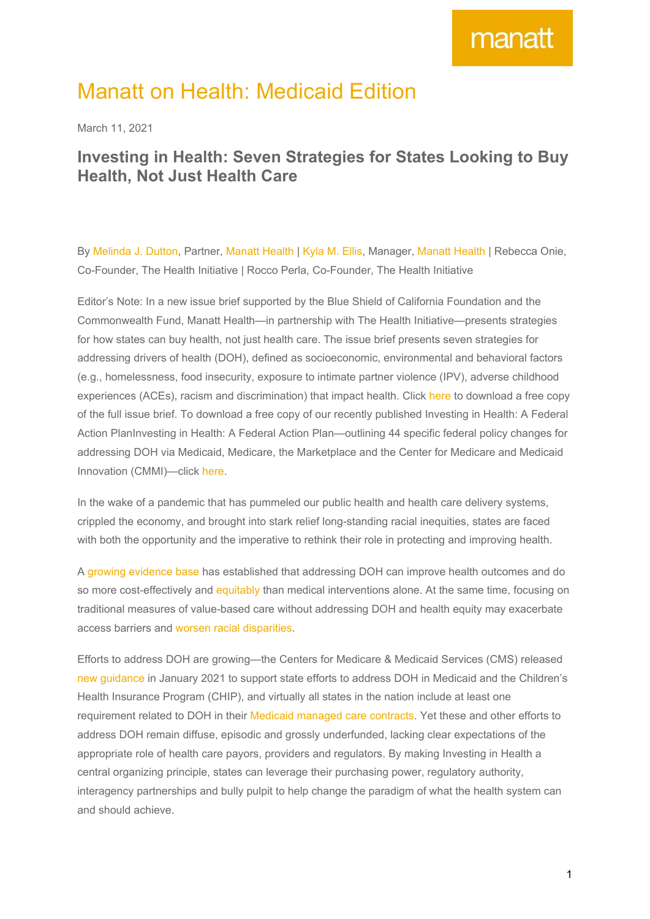### Manatt on Health: Medicaid Edition

March 11, 2021

### **Investing in Health: Seven Strategies for States Looking to Buy Health, Not Just Health Care**

By [Melinda](https://www.manatt.com/melinda-j-dutton) J. Dutton, Partner, [Manatt](https://www.manatt.com/Health) Health | [Kyla](https://www.manatt.com/kyla-m-ellis) M. Ellis, Manager, Manatt Health | Rebecca Onie, Co-Founder, The Health Initiative | Rocco Perla, Co-Founder, The Health Initiative

Editor's Note: In a new issue brief supported by the Blue Shield of California Foundation and the Commonwealth Fund, Manatt Health—in partnership with The Health Initiative—presents strategies for how states can buy health, not just health care. The issue brief presents seven strategies for addressing drivers of health (DOH), defined as socioeconomic, environmental and behavioral factors (e.g., homelessness, food insecurity, exposure to intimate partner violence (IPV), adverse childhood experiences (ACEs), racism and discrimination) that impact health. Click [here](https://www.manatt.com/insights/white-papers/2021/investing-in-health-seven-strategies-for-states-lo) to download a free copy of the full issue brief. To download a free copy of our recently published Investing in Health: A Federal Action PlanInvesting in Health: A Federal Action Plan—outlining 44 specific federal policy changes for addressing DOH via Medicaid, Medicare, the Marketplace and the Center for Medicare and Medicaid Innovation (CMMI)—click [here](https://www.manatt.com/insights/white-papers/2021/investing-in-health-a-federal-action-plan).

In the wake of a pandemic that has pummeled our public health and health care delivery systems, crippled the economy, and brought into stark relief long-standing racial inequities, states are faced with both the opportunity and the imperative to rethink their role in protecting and improving health.

A growing [evidence](https://www.commonwealthfund.org/publications/2019/jun/roi-calculator-evidence-guide) base has established that addressing DOH can improve health outcomes and do so more cost-effectively and [equitably](https://www.nytimes.com/2020/10/06/opinion/medical-racism-payment-models.html) than medical interventions alone. At the same time, focusing on traditional measures of value-based care without addressing DOH and health equity may exacerbate access barriers and worsen racial [disparities.](https://www.nytimes.com/2020/10/06/opinion/medical-racism-payment-models.html)

Efforts to address DOH are growing—the Centers for Medicare & Medicaid Services (CMS) released new [guidance](https://www.medicaid.gov/federal-policy-guidance/downloads/sho21001.pdf) in January 2021 to support state efforts to address DOH in Medicaid and the Children's Health Insurance Program (CHIP), and virtually all states in the nation include at least one requirement related to DOH in their Medicaid [managed](https://www.manatt.com/insights/press-releases/2020/sdoh-integration-and-innovation-a-manatt-health-re) care contracts. Yet these and other efforts to address DOH remain diffuse, episodic and grossly underfunded, lacking clear expectations of the appropriate role of health care payors, providers and regulators. By making Investing in Health a central organizing principle, states can leverage their purchasing power, regulatory authority, interagency partnerships and bully pulpit to help change the paradigm of what the health system can and should achieve.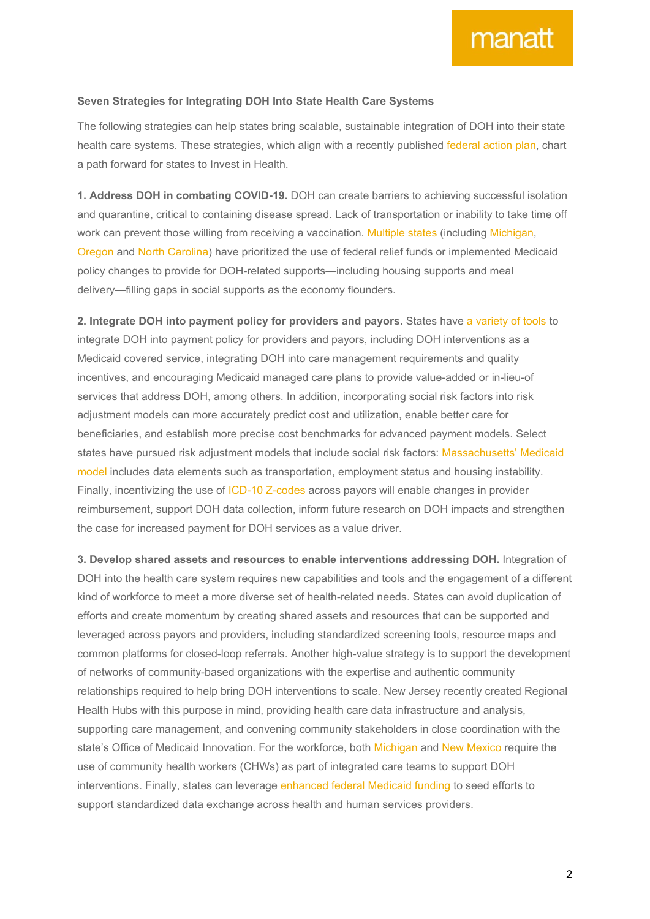#### **Seven Strategies for Integrating DOH Into State Health Care Systems**

The following strategies can help states bring scalable, sustainable integration of DOH into their state health care systems. These strategies, which align with a recently published [federal](https://blueshieldcafoundation.org/sites/default/files/publications/downloadable/Investing%20in%20Health%20-%20A%20Federal%20Action%20Plan%20-January%202021_Final.pdf) action plan, chart a path forward for states to Invest in Health.

**1. Address DOH in combating COVID-19.** DOH can create barriers to achieving successful isolation and quarantine, critical to containing disease spread. Lack of transportation or inability to take time off work can prevent those willing from receiving a vaccination. [Multiple](https://www.kff.org/medicaid/report/state-medicaid-programs-respond-to-meet-covid-19-challenges/) states (including [Michigan,](https://www.michigan.gov/coronavirus/0,9753,7-406-98163-526659--,00.html) [Oregon](https://www.oregon.gov/oha/ERD/Pages/OHA-funds-170-community-groups-support-contact-tracing-outreach-combat-COVID-19.aspx) and North [Carolina\)](https://covid19.ncdhhs.gov/information/human-services/support-services-program) have prioritized the use of federal relief funds or implemented Medicaid policy changes to provide for DOH-related supports—including housing supports and meal delivery—filling gaps in social supports as the economy flounders.

**2. Integrate DOH into payment policy for providers and payors.** States have a [variety](https://www.commonwealthfund.org/publications/fund-reports/2018/jan/enabling-sustainable-investment-social-interventions-review) of tools to integrate DOH into payment policy for providers and payors, including DOH interventions as a Medicaid covered service, integrating DOH into care management requirements and quality incentives, and encouraging Medicaid managed care plans to provide value-added or in-lieu-of services that address DOH, among others. In addition, incorporating social risk factors into risk adjustment models can more accurately predict cost and utilization, enable better care for beneficiaries, and establish more precise cost benchmarks for advanced payment models. Select states have pursued risk adjustment models that include social risk factors: [Massachusetts'](https://www.mass.gov/lists/masshealth-risk-adjustment-methodology) Medicaid [model](https://www.mass.gov/lists/masshealth-risk-adjustment-methodology) includes data elements such as transportation, employment status and housing instability. Finally, incentivizing the use of ICD-10 [Z-codes](https://www.icd10data.com/ICD10CM/Codes/Z00-Z99/Z55-Z65) across payors will enable changes in provider reimbursement, support DOH data collection, inform future research on DOH impacts and strengthen the case for increased payment for DOH services as a value driver.

**3. Develop shared assets and resources to enable interventions addressing DOH.** Integration of DOH into the health care system requires new capabilities and tools and the engagement of a different kind of workforce to meet a more diverse set of health-related needs. States can avoid duplication of efforts and create momentum by creating shared assets and resources that can be supported and leveraged across payors and providers, including standardized screening tools, resource maps and common platforms for closed-loop referrals. Another high-value strategy is to support the development of networks of community-based organizations with the expertise and authentic community relationships required to help bring DOH interventions to scale. New Jersey recently created Regional Health Hubs with this purpose in mind, providing health care data infrastructure and analysis, supporting care management, and convening community stakeholders in close coordination with the state's Office of Medicaid Innovation. For the workforce, both [Michigan](https://www.michigan.gov/documents/contract_7696_7.pdf) and New [Mexico](https://www.commonwealthfund.org/publications/case-study/2020/feb/new-mexico-community-health-workers) require the use of community health workers (CHWs) as part of integrated care teams to support DOH interventions. Finally, states can leverage [enhanced](https://obamawhitehouse.archives.gov/omb/circulars_a087_2004) federal Medicaid funding to seed efforts to support standardized data exchange across health and human services providers.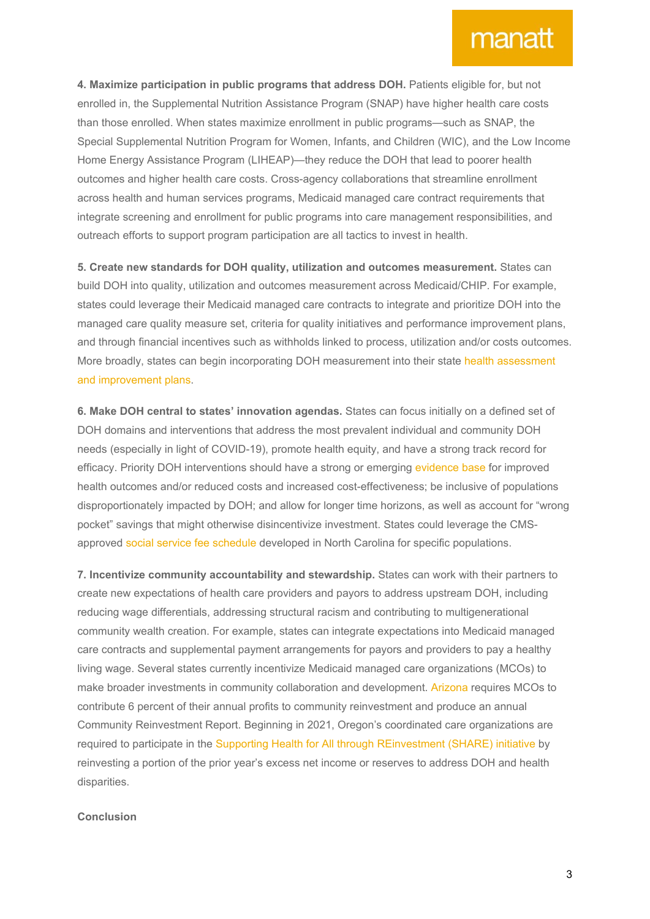## manatt

**4. Maximize participation in public programs that address DOH.** Patients eligible for, but not enrolled in, the Supplemental Nutrition Assistance Program (SNAP) have higher health care costs than those enrolled. When states maximize enrollment in public programs—such as SNAP, the Special Supplemental Nutrition Program for Women, Infants, and Children (WIC), and the Low Income Home Energy Assistance Program (LIHEAP)—they reduce the DOH that lead to poorer health outcomes and higher health care costs. Cross-agency collaborations that streamline enrollment across health and human services programs, Medicaid managed care contract requirements that integrate screening and enrollment for public programs into care management responsibilities, and outreach efforts to support program participation are all tactics to invest in health.

**5. Create new standards for DOH quality, utilization and outcomes measurement.** States can build DOH into quality, utilization and outcomes measurement across Medicaid/CHIP. For example, states could leverage their Medicaid managed care contracts to integrate and prioritize DOH into the managed care quality measure set, criteria for quality initiatives and performance improvement plans, and through financial incentives such as withholds linked to process, utilization and/or costs outcomes. More broadly, states can begin incorporating DOH measurement into their state health [assessment](https://www.in.gov/isdh/files/18_SHA%20SHIP%20FINAL%20DOC_v5.pdf) and [improvement](https://www.in.gov/isdh/files/18_SHA%20SHIP%20FINAL%20DOC_v5.pdf) plans.

**6. Make DOH central to states' innovation agendas.** States can focus initially on a defined set of DOH domains and interventions that address the most prevalent individual and community DOH needs (especially in light of COVID-19), promote health equity, and have a strong track record for efficacy. Priority DOH interventions should have a strong or emerging [evidence](https://www.commonwealthfund.org/publications/2019/jun/roi-calculator-evidence-guide) base for improved health outcomes and/or reduced costs and increased cost-effectiveness; be inclusive of populations disproportionately impacted by DOH; and allow for longer time horizons, as well as account for "wrong pocket" savings that might otherwise disincentivize investment. States could leverage the CMSapproved social service fee [schedule](https://www.commonwealthfund.org/blog/2020/putting-price-social-services-north-carolinas-pilot-effort) developed in North Carolina for specific populations.

**7. Incentivize community accountability and stewardship.** States can work with their partners to create new expectations of health care providers and payors to address upstream DOH, including reducing wage differentials, addressing structural racism and contributing to multigenerational community wealth creation. For example, states can integrate expectations into Medicaid managed care contracts and supplemental payment arrangements for payors and providers to pay a healthy living wage. Several states currently incentivize Medicaid managed care organizations (MCOs) to make broader investments in community collaboration and development. [Arizona](https://www.azahcccs.gov/Resources/Downloads/ContractAmendments/ACC/ACC_Contract_Amend_1.pdf) requires MCOs to contribute 6 percent of their annual profits to community reinvestment and produce an annual Community Reinvestment Report. Beginning in 2021, Oregon's coordinated care organizations are required to participate in the Supporting Health for All through [REinvestment](https://www.oregon.gov/oha/HPA/dsi-tc/Pages/SHARE.aspx) (SHARE) initiative by reinvesting a portion of the prior year's excess net income or reserves to address DOH and health disparities.

#### **Conclusion**